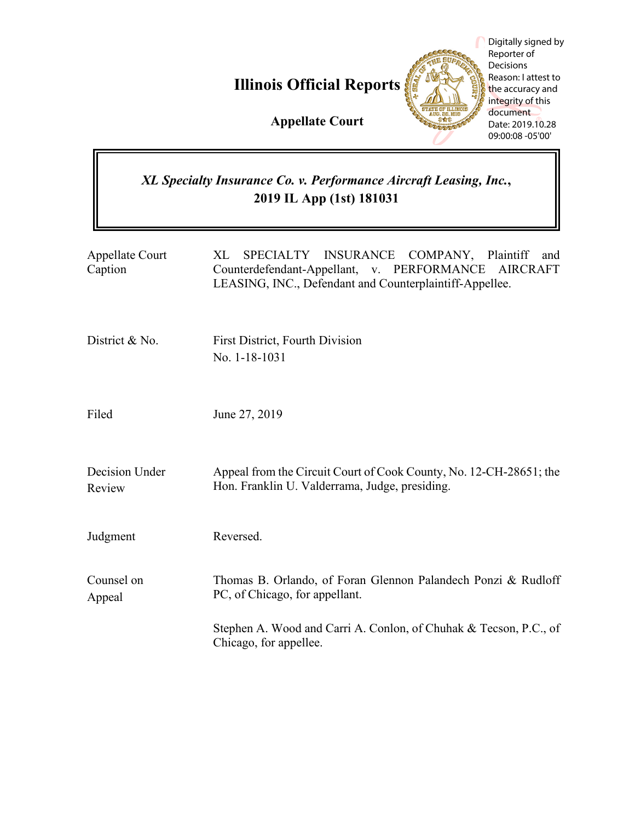**Illinois Official Reports**



Digitally signed by Reporter of Decisions Reason: I attest to the accuracy and integrity of this document Date: 2019.10.28 09:00:08 -05'00'

# **Appellate Court**

# *XL Specialty Insurance Co. v. Performance Aircraft Leasing, Inc.***, 2019 IL App (1st) 181031**

| <b>Appellate Court</b><br>Caption | SPECIALTY INSURANCE COMPANY, Plaintiff<br>XL<br>and<br>Counterdefendant-Appellant, v. PERFORMANCE<br><b>AIRCRAFT</b><br>LEASING, INC., Defendant and Counterplaintiff-Appellee. |
|-----------------------------------|---------------------------------------------------------------------------------------------------------------------------------------------------------------------------------|
| District & No.                    | <b>First District, Fourth Division</b><br>No. 1-18-1031                                                                                                                         |
| Filed                             | June 27, 2019                                                                                                                                                                   |
| Decision Under<br>Review          | Appeal from the Circuit Court of Cook County, No. 12-CH-28651; the<br>Hon. Franklin U. Valderrama, Judge, presiding.                                                            |
| Judgment                          | Reversed.                                                                                                                                                                       |
| Counsel on<br>Appeal              | Thomas B. Orlando, of Foran Glennon Palandech Ponzi & Rudloff<br>PC, of Chicago, for appellant.                                                                                 |
|                                   | Stephen A. Wood and Carri A. Conlon, of Chuhak & Tecson, P.C., of<br>Chicago, for appellee.                                                                                     |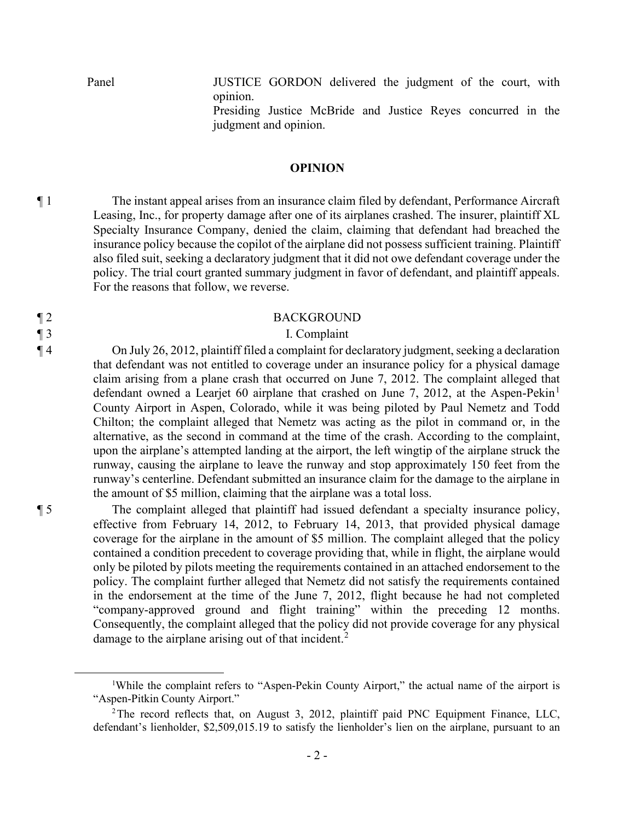Panel JUSTICE GORDON delivered the judgment of the court, with opinion.

> Presiding Justice McBride and Justice Reyes concurred in the judgment and opinion.

#### **OPINION**

¶ 1 The instant appeal arises from an insurance claim filed by defendant, Performance Aircraft Leasing, Inc., for property damage after one of its airplanes crashed. The insurer, plaintiff XL Specialty Insurance Company, denied the claim, claiming that defendant had breached the insurance policy because the copilot of the airplane did not possess sufficient training. Plaintiff also filed suit, seeking a declaratory judgment that it did not owe defendant coverage under the policy. The trial court granted summary judgment in favor of defendant, and plaintiff appeals. For the reasons that follow, we reverse.

#### ¶ 2 BACKGROUND

# ¶ 3 I. Complaint

¶ 4 On July 26, 2012, plaintiff filed a complaint for declaratory judgment, seeking a declaration that defendant was not entitled to coverage under an insurance policy for a physical damage claim arising from a plane crash that occurred on June 7, 2012. The complaint alleged that defendant owned a Learjet 60 airplane that crashed on June 7, 2012, at the Aspen-Pekin<sup>1</sup> County Airport in Aspen, Colorado, while it was being piloted by Paul Nemetz and Todd Chilton; the complaint alleged that Nemetz was acting as the pilot in command or, in the alternative, as the second in command at the time of the crash. According to the complaint, upon the airplane's attempted landing at the airport, the left wingtip of the airplane struck the runway, causing the airplane to leave the runway and stop approximately 150 feet from the runway's centerline. Defendant submitted an insurance claim for the damage to the airplane in the amount of \$5 million, claiming that the airplane was a total loss.

¶ 5 The complaint alleged that plaintiff had issued defendant a specialty insurance policy, effective from February 14, 2012, to February 14, 2013, that provided physical damage coverage for the airplane in the amount of \$5 million. The complaint alleged that the policy contained a condition precedent to coverage providing that, while in flight, the airplane would only be piloted by pilots meeting the requirements contained in an attached endorsement to the policy. The complaint further alleged that Nemetz did not satisfy the requirements contained in the endorsement at the time of the June 7, 2012, flight because he had not completed "company-approved ground and flight training" within the preceding 12 months. Consequently, the complaint alleged that the policy did not provide coverage for any physical damage to the airplane arising out of that incident.<sup>2</sup>

<sup>&</sup>lt;sup>1</sup>While the complaint refers to "Aspen-Pekin County Airport," the actual name of the airport is "Aspen-Pitkin County Airport."

<sup>&</sup>lt;sup>2</sup>The record reflects that, on August 3, 2012, plaintiff paid PNC Equipment Finance, LLC, defendant's lienholder, \$2,509,015.19 to satisfy the lienholder's lien on the airplane, pursuant to an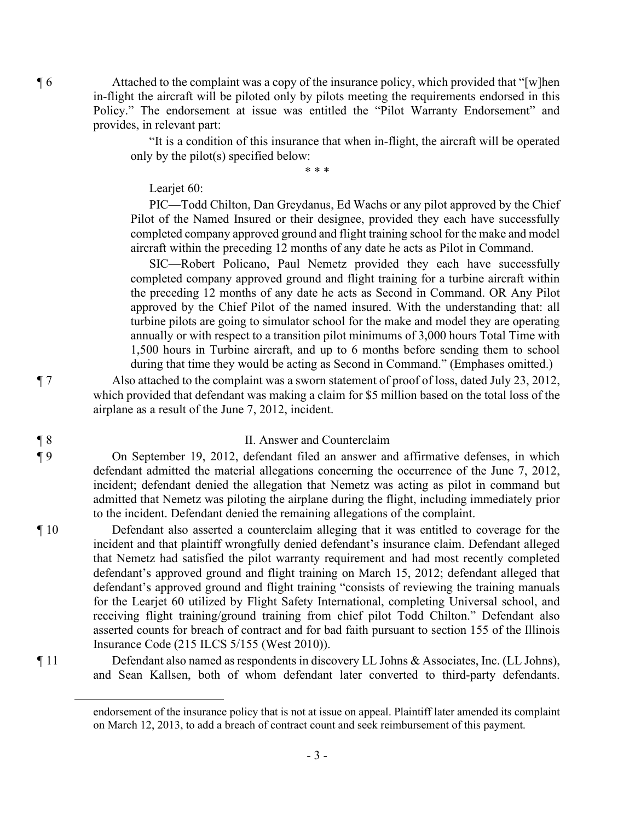¶ 6 Attached to the complaint was a copy of the insurance policy, which provided that "[w]hen in-flight the aircraft will be piloted only by pilots meeting the requirements endorsed in this Policy." The endorsement at issue was entitled the "Pilot Warranty Endorsement" and provides, in relevant part:

> "It is a condition of this insurance that when in-flight, the aircraft will be operated only by the pilot(s) specified below:

> > \* \* \*

Learjet 60:

PIC—Todd Chilton, Dan Greydanus, Ed Wachs or any pilot approved by the Chief Pilot of the Named Insured or their designee, provided they each have successfully completed company approved ground and flight training school for the make and model aircraft within the preceding 12 months of any date he acts as Pilot in Command.

SIC—Robert Policano, Paul Nemetz provided they each have successfully completed company approved ground and flight training for a turbine aircraft within the preceding 12 months of any date he acts as Second in Command. OR Any Pilot approved by the Chief Pilot of the named insured. With the understanding that: all turbine pilots are going to simulator school for the make and model they are operating annually or with respect to a transition pilot minimums of 3,000 hours Total Time with 1,500 hours in Turbine aircraft, and up to 6 months before sending them to school during that time they would be acting as Second in Command." (Emphases omitted.)

¶ 7 Also attached to the complaint was a sworn statement of proof of loss, dated July 23, 2012, which provided that defendant was making a claim for \$5 million based on the total loss of the airplane as a result of the June 7, 2012, incident.

#### ¶ 8 II. Answer and Counterclaim

¶ 9 On September 19, 2012, defendant filed an answer and affirmative defenses, in which defendant admitted the material allegations concerning the occurrence of the June 7, 2012, incident; defendant denied the allegation that Nemetz was acting as pilot in command but admitted that Nemetz was piloting the airplane during the flight, including immediately prior to the incident. Defendant denied the remaining allegations of the complaint.

¶ 10 Defendant also asserted a counterclaim alleging that it was entitled to coverage for the incident and that plaintiff wrongfully denied defendant's insurance claim. Defendant alleged that Nemetz had satisfied the pilot warranty requirement and had most recently completed defendant's approved ground and flight training on March 15, 2012; defendant alleged that defendant's approved ground and flight training "consists of reviewing the training manuals for the Learjet 60 utilized by Flight Safety International, completing Universal school, and receiving flight training/ground training from chief pilot Todd Chilton." Defendant also asserted counts for breach of contract and for bad faith pursuant to section 155 of the Illinois Insurance Code (215 ILCS 5/155 (West 2010)).

¶ 11 Defendant also named as respondents in discovery LL Johns & Associates, Inc. (LL Johns), and Sean Kallsen, both of whom defendant later converted to third-party defendants.

endorsement of the insurance policy that is not at issue on appeal. Plaintiff later amended its complaint on March 12, 2013, to add a breach of contract count and seek reimbursement of this payment.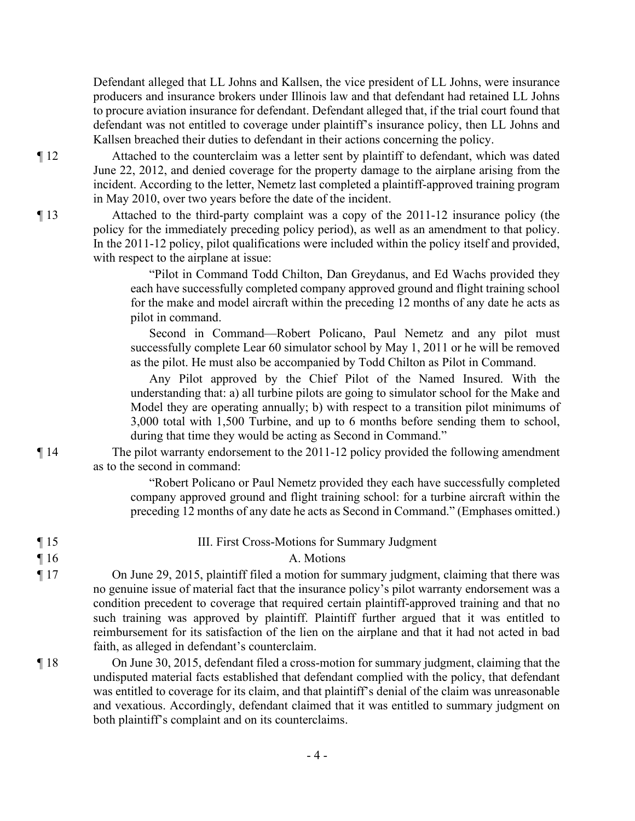Defendant alleged that LL Johns and Kallsen, the vice president of LL Johns, were insurance producers and insurance brokers under Illinois law and that defendant had retained LL Johns to procure aviation insurance for defendant. Defendant alleged that, if the trial court found that defendant was not entitled to coverage under plaintiff's insurance policy, then LL Johns and Kallsen breached their duties to defendant in their actions concerning the policy.

¶ 12 Attached to the counterclaim was a letter sent by plaintiff to defendant, which was dated June 22, 2012, and denied coverage for the property damage to the airplane arising from the incident. According to the letter, Nemetz last completed a plaintiff-approved training program in May 2010, over two years before the date of the incident.

¶ 13 Attached to the third-party complaint was a copy of the 2011-12 insurance policy (the policy for the immediately preceding policy period), as well as an amendment to that policy. In the 2011-12 policy, pilot qualifications were included within the policy itself and provided, with respect to the airplane at issue:

> "Pilot in Command Todd Chilton, Dan Greydanus, and Ed Wachs provided they each have successfully completed company approved ground and flight training school for the make and model aircraft within the preceding 12 months of any date he acts as pilot in command.

> Second in Command—Robert Policano, Paul Nemetz and any pilot must successfully complete Lear 60 simulator school by May 1, 2011 or he will be removed as the pilot. He must also be accompanied by Todd Chilton as Pilot in Command.

> Any Pilot approved by the Chief Pilot of the Named Insured. With the understanding that: a) all turbine pilots are going to simulator school for the Make and Model they are operating annually; b) with respect to a transition pilot minimums of 3,000 total with 1,500 Turbine, and up to 6 months before sending them to school, during that time they would be acting as Second in Command."

¶ 14 The pilot warranty endorsement to the 2011-12 policy provided the following amendment as to the second in command:

> "Robert Policano or Paul Nemetz provided they each have successfully completed company approved ground and flight training school: for a turbine aircraft within the preceding 12 months of any date he acts as Second in Command." (Emphases omitted.)

# ¶ 16 A. Motions

¶ 17 On June 29, 2015, plaintiff filed a motion for summary judgment, claiming that there was no genuine issue of material fact that the insurance policy's pilot warranty endorsement was a condition precedent to coverage that required certain plaintiff-approved training and that no such training was approved by plaintiff. Plaintiff further argued that it was entitled to reimbursement for its satisfaction of the lien on the airplane and that it had not acted in bad faith, as alleged in defendant's counterclaim.

¶ 18 On June 30, 2015, defendant filed a cross-motion for summary judgment, claiming that the undisputed material facts established that defendant complied with the policy, that defendant was entitled to coverage for its claim, and that plaintiff's denial of the claim was unreasonable and vexatious. Accordingly, defendant claimed that it was entitled to summary judgment on both plaintiff's complaint and on its counterclaims.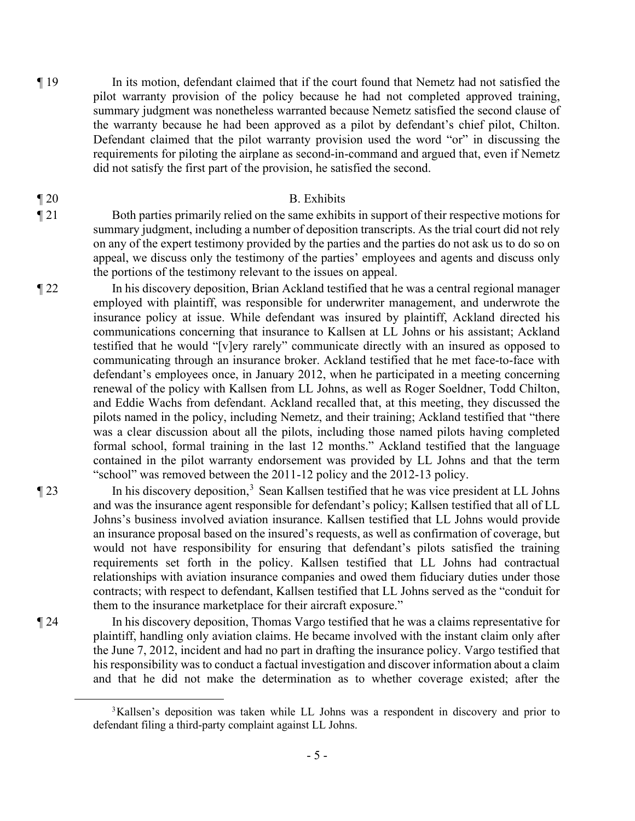¶ 19 In its motion, defendant claimed that if the court found that Nemetz had not satisfied the pilot warranty provision of the policy because he had not completed approved training, summary judgment was nonetheless warranted because Nemetz satisfied the second clause of the warranty because he had been approved as a pilot by defendant's chief pilot, Chilton. Defendant claimed that the pilot warranty provision used the word "or" in discussing the requirements for piloting the airplane as second-in-command and argued that, even if Nemetz did not satisfy the first part of the provision, he satisfied the second.

#### ¶ 20 B. Exhibits

¶ 21 Both parties primarily relied on the same exhibits in support of their respective motions for summary judgment, including a number of deposition transcripts. As the trial court did not rely on any of the expert testimony provided by the parties and the parties do not ask us to do so on appeal, we discuss only the testimony of the parties' employees and agents and discuss only the portions of the testimony relevant to the issues on appeal.

¶ 22 In his discovery deposition, Brian Ackland testified that he was a central regional manager employed with plaintiff, was responsible for underwriter management, and underwrote the insurance policy at issue. While defendant was insured by plaintiff, Ackland directed his communications concerning that insurance to Kallsen at LL Johns or his assistant; Ackland testified that he would "[v]ery rarely" communicate directly with an insured as opposed to communicating through an insurance broker. Ackland testified that he met face-to-face with defendant's employees once, in January 2012, when he participated in a meeting concerning renewal of the policy with Kallsen from LL Johns, as well as Roger Soeldner, Todd Chilton, and Eddie Wachs from defendant. Ackland recalled that, at this meeting, they discussed the pilots named in the policy, including Nemetz, and their training; Ackland testified that "there was a clear discussion about all the pilots, including those named pilots having completed formal school, formal training in the last 12 months." Ackland testified that the language contained in the pilot warranty endorsement was provided by LL Johns and that the term "school" was removed between the 2011-12 policy and the 2012-13 policy.

¶ 23 In his discovery deposition,<sup>3</sup> Sean Kallsen testified that he was vice president at LL Johns and was the insurance agent responsible for defendant's policy; Kallsen testified that all of LL Johns's business involved aviation insurance. Kallsen testified that LL Johns would provide an insurance proposal based on the insured's requests, as well as confirmation of coverage, but would not have responsibility for ensuring that defendant's pilots satisfied the training requirements set forth in the policy. Kallsen testified that LL Johns had contractual relationships with aviation insurance companies and owed them fiduciary duties under those contracts; with respect to defendant, Kallsen testified that LL Johns served as the "conduit for them to the insurance marketplace for their aircraft exposure."

¶ 24 In his discovery deposition, Thomas Vargo testified that he was a claims representative for plaintiff, handling only aviation claims. He became involved with the instant claim only after the June 7, 2012, incident and had no part in drafting the insurance policy. Vargo testified that his responsibility was to conduct a factual investigation and discover information about a claim and that he did not make the determination as to whether coverage existed; after the

- 5 -

<sup>&</sup>lt;sup>3</sup>Kallsen's deposition was taken while LL Johns was a respondent in discovery and prior to defendant filing a third-party complaint against LL Johns.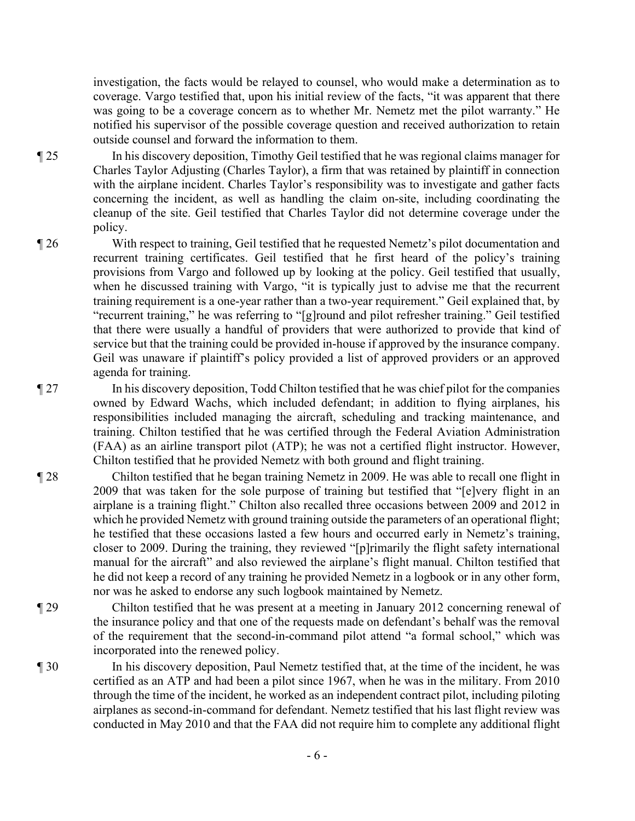investigation, the facts would be relayed to counsel, who would make a determination as to coverage. Vargo testified that, upon his initial review of the facts, "it was apparent that there was going to be a coverage concern as to whether Mr. Nemetz met the pilot warranty." He notified his supervisor of the possible coverage question and received authorization to retain outside counsel and forward the information to them.

- ¶ 25 In his discovery deposition, Timothy Geil testified that he was regional claims manager for Charles Taylor Adjusting (Charles Taylor), a firm that was retained by plaintiff in connection with the airplane incident. Charles Taylor's responsibility was to investigate and gather facts concerning the incident, as well as handling the claim on-site, including coordinating the cleanup of the site. Geil testified that Charles Taylor did not determine coverage under the policy.
- ¶ 26 With respect to training, Geil testified that he requested Nemetz's pilot documentation and recurrent training certificates. Geil testified that he first heard of the policy's training provisions from Vargo and followed up by looking at the policy. Geil testified that usually, when he discussed training with Vargo, "it is typically just to advise me that the recurrent training requirement is a one-year rather than a two-year requirement." Geil explained that, by "recurrent training," he was referring to "[g]round and pilot refresher training." Geil testified that there were usually a handful of providers that were authorized to provide that kind of service but that the training could be provided in-house if approved by the insurance company. Geil was unaware if plaintiff's policy provided a list of approved providers or an approved agenda for training.
- ¶ 27 In his discovery deposition, Todd Chilton testified that he was chief pilot for the companies owned by Edward Wachs, which included defendant; in addition to flying airplanes, his responsibilities included managing the aircraft, scheduling and tracking maintenance, and training. Chilton testified that he was certified through the Federal Aviation Administration (FAA) as an airline transport pilot (ATP); he was not a certified flight instructor. However, Chilton testified that he provided Nemetz with both ground and flight training.
- ¶ 28 Chilton testified that he began training Nemetz in 2009. He was able to recall one flight in 2009 that was taken for the sole purpose of training but testified that "[e]very flight in an airplane is a training flight." Chilton also recalled three occasions between 2009 and 2012 in which he provided Nemetz with ground training outside the parameters of an operational flight; he testified that these occasions lasted a few hours and occurred early in Nemetz's training, closer to 2009. During the training, they reviewed "[p]rimarily the flight safety international manual for the aircraft" and also reviewed the airplane's flight manual. Chilton testified that he did not keep a record of any training he provided Nemetz in a logbook or in any other form, nor was he asked to endorse any such logbook maintained by Nemetz.
- ¶ 29 Chilton testified that he was present at a meeting in January 2012 concerning renewal of the insurance policy and that one of the requests made on defendant's behalf was the removal of the requirement that the second-in-command pilot attend "a formal school," which was incorporated into the renewed policy.
- ¶ 30 In his discovery deposition, Paul Nemetz testified that, at the time of the incident, he was certified as an ATP and had been a pilot since 1967, when he was in the military. From 2010 through the time of the incident, he worked as an independent contract pilot, including piloting airplanes as second-in-command for defendant. Nemetz testified that his last flight review was conducted in May 2010 and that the FAA did not require him to complete any additional flight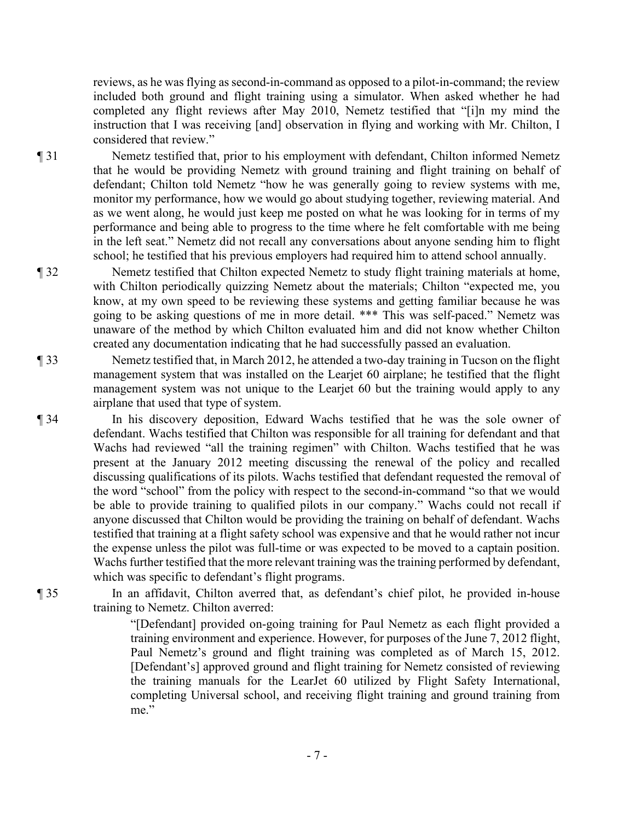reviews, as he was flying as second-in-command as opposed to a pilot-in-command; the review included both ground and flight training using a simulator. When asked whether he had completed any flight reviews after May 2010, Nemetz testified that "[i]n my mind the instruction that I was receiving [and] observation in flying and working with Mr. Chilton, I considered that review."

¶ 31 Nemetz testified that, prior to his employment with defendant, Chilton informed Nemetz that he would be providing Nemetz with ground training and flight training on behalf of defendant; Chilton told Nemetz "how he was generally going to review systems with me, monitor my performance, how we would go about studying together, reviewing material. And as we went along, he would just keep me posted on what he was looking for in terms of my performance and being able to progress to the time where he felt comfortable with me being in the left seat." Nemetz did not recall any conversations about anyone sending him to flight school; he testified that his previous employers had required him to attend school annually.

¶ 32 Nemetz testified that Chilton expected Nemetz to study flight training materials at home, with Chilton periodically quizzing Nemetz about the materials; Chilton "expected me, you know, at my own speed to be reviewing these systems and getting familiar because he was going to be asking questions of me in more detail. \*\*\* This was self-paced." Nemetz was unaware of the method by which Chilton evaluated him and did not know whether Chilton created any documentation indicating that he had successfully passed an evaluation.

¶ 33 Nemetz testified that, in March 2012, he attended a two-day training in Tucson on the flight management system that was installed on the Learjet 60 airplane; he testified that the flight management system was not unique to the Learjet 60 but the training would apply to any airplane that used that type of system.

¶ 34 In his discovery deposition, Edward Wachs testified that he was the sole owner of defendant. Wachs testified that Chilton was responsible for all training for defendant and that Wachs had reviewed "all the training regimen" with Chilton. Wachs testified that he was present at the January 2012 meeting discussing the renewal of the policy and recalled discussing qualifications of its pilots. Wachs testified that defendant requested the removal of the word "school" from the policy with respect to the second-in-command "so that we would be able to provide training to qualified pilots in our company." Wachs could not recall if anyone discussed that Chilton would be providing the training on behalf of defendant. Wachs testified that training at a flight safety school was expensive and that he would rather not incur the expense unless the pilot was full-time or was expected to be moved to a captain position. Wachs further testified that the more relevant training was the training performed by defendant, which was specific to defendant's flight programs.

¶ 35 In an affidavit, Chilton averred that, as defendant's chief pilot, he provided in-house training to Nemetz. Chilton averred:

> "[Defendant] provided on-going training for Paul Nemetz as each flight provided a training environment and experience. However, for purposes of the June 7, 2012 flight, Paul Nemetz's ground and flight training was completed as of March 15, 2012. [Defendant's] approved ground and flight training for Nemetz consisted of reviewing the training manuals for the LearJet 60 utilized by Flight Safety International, completing Universal school, and receiving flight training and ground training from me."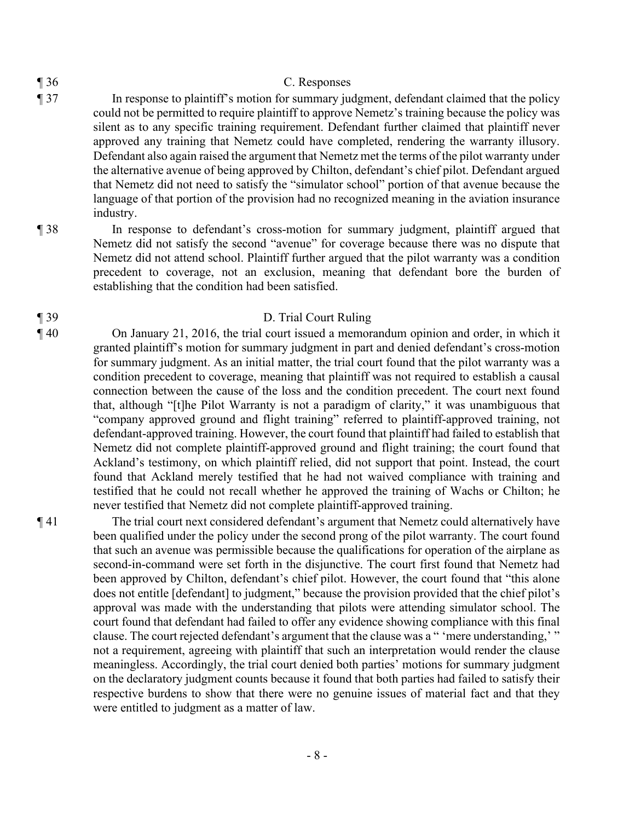### ¶ 36 C. Responses

- ¶ 37 In response to plaintiff's motion for summary judgment, defendant claimed that the policy could not be permitted to require plaintiff to approve Nemetz's training because the policy was silent as to any specific training requirement. Defendant further claimed that plaintiff never approved any training that Nemetz could have completed, rendering the warranty illusory. Defendant also again raised the argument that Nemetz met the terms of the pilot warranty under the alternative avenue of being approved by Chilton, defendant's chief pilot. Defendant argued that Nemetz did not need to satisfy the "simulator school" portion of that avenue because the language of that portion of the provision had no recognized meaning in the aviation insurance industry.
- ¶ 38 In response to defendant's cross-motion for summary judgment, plaintiff argued that Nemetz did not satisfy the second "avenue" for coverage because there was no dispute that Nemetz did not attend school. Plaintiff further argued that the pilot warranty was a condition precedent to coverage, not an exclusion, meaning that defendant bore the burden of establishing that the condition had been satisfied.

# ¶ 39 D. Trial Court Ruling

¶ 40 On January 21, 2016, the trial court issued a memorandum opinion and order, in which it granted plaintiff's motion for summary judgment in part and denied defendant's cross-motion for summary judgment. As an initial matter, the trial court found that the pilot warranty was a condition precedent to coverage, meaning that plaintiff was not required to establish a causal connection between the cause of the loss and the condition precedent. The court next found that, although "[t]he Pilot Warranty is not a paradigm of clarity," it was unambiguous that "company approved ground and flight training" referred to plaintiff-approved training, not defendant-approved training. However, the court found that plaintiff had failed to establish that Nemetz did not complete plaintiff-approved ground and flight training; the court found that Ackland's testimony, on which plaintiff relied, did not support that point. Instead, the court found that Ackland merely testified that he had not waived compliance with training and testified that he could not recall whether he approved the training of Wachs or Chilton; he never testified that Nemetz did not complete plaintiff-approved training.

¶ 41 The trial court next considered defendant's argument that Nemetz could alternatively have been qualified under the policy under the second prong of the pilot warranty. The court found that such an avenue was permissible because the qualifications for operation of the airplane as second-in-command were set forth in the disjunctive. The court first found that Nemetz had been approved by Chilton, defendant's chief pilot. However, the court found that "this alone does not entitle [defendant] to judgment," because the provision provided that the chief pilot's approval was made with the understanding that pilots were attending simulator school. The court found that defendant had failed to offer any evidence showing compliance with this final clause. The court rejected defendant's argument that the clause was a " 'mere understanding,' " not a requirement, agreeing with plaintiff that such an interpretation would render the clause meaningless. Accordingly, the trial court denied both parties' motions for summary judgment on the declaratory judgment counts because it found that both parties had failed to satisfy their respective burdens to show that there were no genuine issues of material fact and that they were entitled to judgment as a matter of law.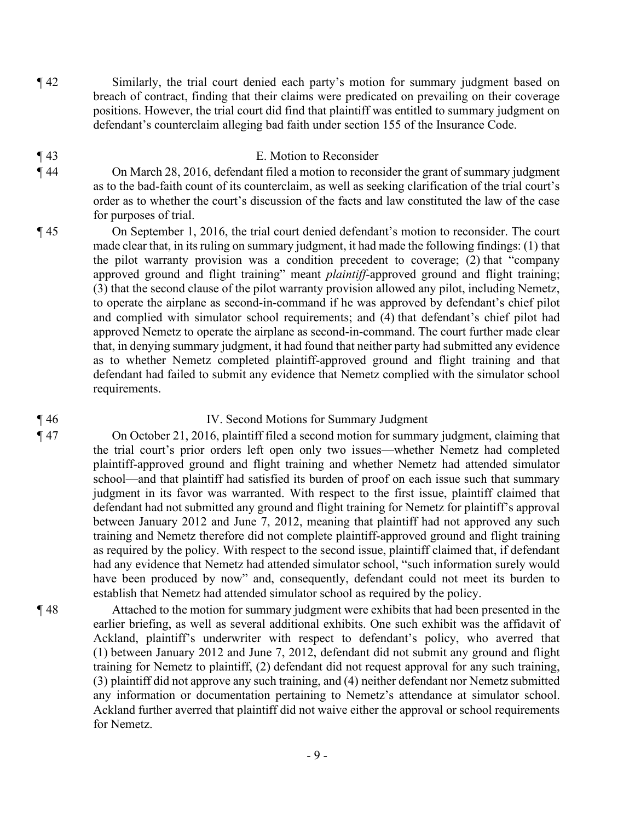- ¶ 42 Similarly, the trial court denied each party's motion for summary judgment based on breach of contract, finding that their claims were predicated on prevailing on their coverage positions. However, the trial court did find that plaintiff was entitled to summary judgment on defendant's counterclaim alleging bad faith under section 155 of the Insurance Code.
- ¶ 43 E. Motion to Reconsider
- ¶ 44 On March 28, 2016, defendant filed a motion to reconsider the grant of summary judgment as to the bad-faith count of its counterclaim, as well as seeking clarification of the trial court's order as to whether the court's discussion of the facts and law constituted the law of the case for purposes of trial.
- ¶ 45 On September 1, 2016, the trial court denied defendant's motion to reconsider. The court made clear that, in its ruling on summary judgment, it had made the following findings: (1) that the pilot warranty provision was a condition precedent to coverage; (2) that "company approved ground and flight training" meant *plaintiff*-approved ground and flight training; (3) that the second clause of the pilot warranty provision allowed any pilot, including Nemetz, to operate the airplane as second-in-command if he was approved by defendant's chief pilot and complied with simulator school requirements; and (4) that defendant's chief pilot had approved Nemetz to operate the airplane as second-in-command. The court further made clear that, in denying summary judgment, it had found that neither party had submitted any evidence as to whether Nemetz completed plaintiff-approved ground and flight training and that defendant had failed to submit any evidence that Nemetz complied with the simulator school requirements.

### ¶ 46 IV. Second Motions for Summary Judgment

¶ 47 On October 21, 2016, plaintiff filed a second motion for summary judgment, claiming that the trial court's prior orders left open only two issues—whether Nemetz had completed plaintiff-approved ground and flight training and whether Nemetz had attended simulator school—and that plaintiff had satisfied its burden of proof on each issue such that summary judgment in its favor was warranted. With respect to the first issue, plaintiff claimed that defendant had not submitted any ground and flight training for Nemetz for plaintiff's approval between January 2012 and June 7, 2012, meaning that plaintiff had not approved any such training and Nemetz therefore did not complete plaintiff-approved ground and flight training as required by the policy. With respect to the second issue, plaintiff claimed that, if defendant had any evidence that Nemetz had attended simulator school, "such information surely would have been produced by now" and, consequently, defendant could not meet its burden to establish that Nemetz had attended simulator school as required by the policy.

¶ 48 Attached to the motion for summary judgment were exhibits that had been presented in the earlier briefing, as well as several additional exhibits. One such exhibit was the affidavit of Ackland, plaintiff's underwriter with respect to defendant's policy, who averred that (1) between January 2012 and June 7, 2012, defendant did not submit any ground and flight training for Nemetz to plaintiff, (2) defendant did not request approval for any such training, (3) plaintiff did not approve any such training, and (4) neither defendant nor Nemetz submitted any information or documentation pertaining to Nemetz's attendance at simulator school. Ackland further averred that plaintiff did not waive either the approval or school requirements for Nemetz.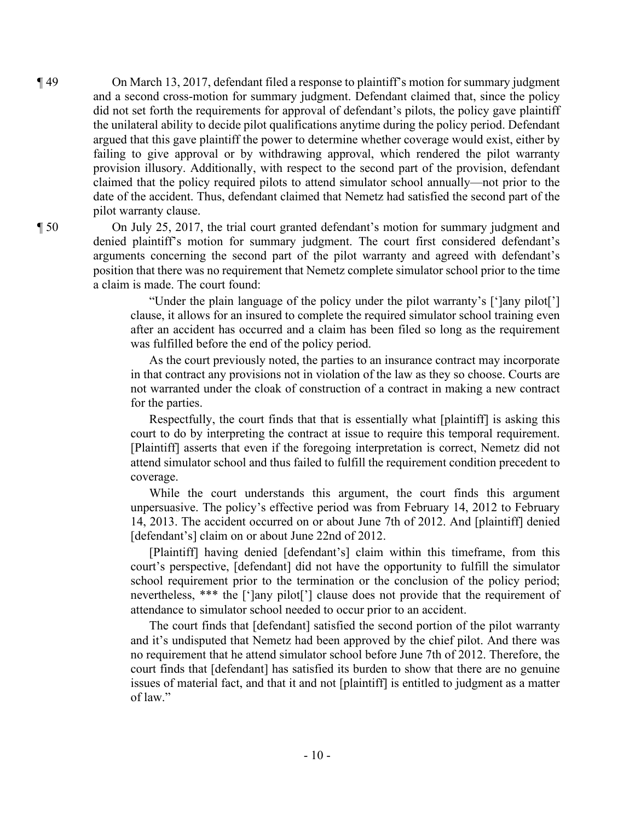¶ 49 On March 13, 2017, defendant filed a response to plaintiff's motion for summary judgment and a second cross-motion for summary judgment. Defendant claimed that, since the policy did not set forth the requirements for approval of defendant's pilots, the policy gave plaintiff the unilateral ability to decide pilot qualifications anytime during the policy period. Defendant argued that this gave plaintiff the power to determine whether coverage would exist, either by failing to give approval or by withdrawing approval, which rendered the pilot warranty provision illusory. Additionally, with respect to the second part of the provision, defendant claimed that the policy required pilots to attend simulator school annually—not prior to the date of the accident. Thus, defendant claimed that Nemetz had satisfied the second part of the pilot warranty clause.

¶ 50 On July 25, 2017, the trial court granted defendant's motion for summary judgment and denied plaintiff's motion for summary judgment. The court first considered defendant's arguments concerning the second part of the pilot warranty and agreed with defendant's position that there was no requirement that Nemetz complete simulator school prior to the time a claim is made. The court found:

> "Under the plain language of the policy under the pilot warranty's [']any pilot['] clause, it allows for an insured to complete the required simulator school training even after an accident has occurred and a claim has been filed so long as the requirement was fulfilled before the end of the policy period.

> As the court previously noted, the parties to an insurance contract may incorporate in that contract any provisions not in violation of the law as they so choose. Courts are not warranted under the cloak of construction of a contract in making a new contract for the parties.

> Respectfully, the court finds that that is essentially what [plaintiff] is asking this court to do by interpreting the contract at issue to require this temporal requirement. [Plaintiff] asserts that even if the foregoing interpretation is correct, Nemetz did not attend simulator school and thus failed to fulfill the requirement condition precedent to coverage.

> While the court understands this argument, the court finds this argument unpersuasive. The policy's effective period was from February 14, 2012 to February 14, 2013. The accident occurred on or about June 7th of 2012. And [plaintiff] denied [defendant's] claim on or about June 22nd of 2012.

> [Plaintiff] having denied [defendant's] claim within this timeframe, from this court's perspective, [defendant] did not have the opportunity to fulfill the simulator school requirement prior to the termination or the conclusion of the policy period; nevertheless, \*\*\* the [']any pilot['] clause does not provide that the requirement of attendance to simulator school needed to occur prior to an accident.

> The court finds that [defendant] satisfied the second portion of the pilot warranty and it's undisputed that Nemetz had been approved by the chief pilot. And there was no requirement that he attend simulator school before June 7th of 2012. Therefore, the court finds that [defendant] has satisfied its burden to show that there are no genuine issues of material fact, and that it and not [plaintiff] is entitled to judgment as a matter of law."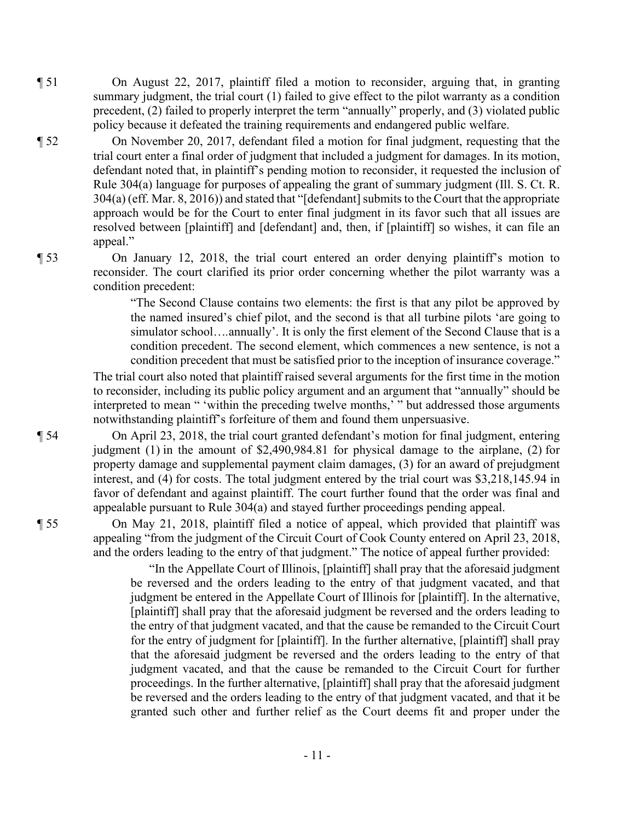¶ 51 On August 22, 2017, plaintiff filed a motion to reconsider, arguing that, in granting summary judgment, the trial court (1) failed to give effect to the pilot warranty as a condition precedent, (2) failed to properly interpret the term "annually" properly, and (3) violated public policy because it defeated the training requirements and endangered public welfare.

¶ 52 On November 20, 2017, defendant filed a motion for final judgment, requesting that the trial court enter a final order of judgment that included a judgment for damages. In its motion, defendant noted that, in plaintiff's pending motion to reconsider, it requested the inclusion of Rule 304(a) language for purposes of appealing the grant of summary judgment (Ill. S. Ct. R. 304(a) (eff. Mar. 8, 2016)) and stated that "[defendant] submits to the Court that the appropriate approach would be for the Court to enter final judgment in its favor such that all issues are resolved between [plaintiff] and [defendant] and, then, if [plaintiff] so wishes, it can file an appeal."

¶ 53 On January 12, 2018, the trial court entered an order denying plaintiff's motion to reconsider. The court clarified its prior order concerning whether the pilot warranty was a condition precedent:

> "The Second Clause contains two elements: the first is that any pilot be approved by the named insured's chief pilot, and the second is that all turbine pilots 'are going to simulator school…*.*annually'. It is only the first element of the Second Clause that is a condition precedent. The second element, which commences a new sentence, is not a condition precedent that must be satisfied prior to the inception of insurance coverage."

The trial court also noted that plaintiff raised several arguments for the first time in the motion to reconsider, including its public policy argument and an argument that "annually" should be interpreted to mean " 'within the preceding twelve months,' " but addressed those arguments notwithstanding plaintiff's forfeiture of them and found them unpersuasive.

¶ 54 On April 23, 2018, the trial court granted defendant's motion for final judgment, entering judgment (1) in the amount of \$2,490,984.81 for physical damage to the airplane, (2) for property damage and supplemental payment claim damages, (3) for an award of prejudgment interest, and (4) for costs. The total judgment entered by the trial court was \$3,218,145.94 in favor of defendant and against plaintiff. The court further found that the order was final and appealable pursuant to Rule 304(a) and stayed further proceedings pending appeal.

¶ 55 On May 21, 2018, plaintiff filed a notice of appeal, which provided that plaintiff was appealing "from the judgment of the Circuit Court of Cook County entered on April 23, 2018, and the orders leading to the entry of that judgment." The notice of appeal further provided:

> "In the Appellate Court of Illinois, [plaintiff] shall pray that the aforesaid judgment be reversed and the orders leading to the entry of that judgment vacated, and that judgment be entered in the Appellate Court of Illinois for [plaintiff]. In the alternative, [plaintiff] shall pray that the aforesaid judgment be reversed and the orders leading to the entry of that judgment vacated, and that the cause be remanded to the Circuit Court for the entry of judgment for [plaintiff]. In the further alternative, [plaintiff] shall pray that the aforesaid judgment be reversed and the orders leading to the entry of that judgment vacated, and that the cause be remanded to the Circuit Court for further proceedings. In the further alternative, [plaintiff] shall pray that the aforesaid judgment be reversed and the orders leading to the entry of that judgment vacated, and that it be granted such other and further relief as the Court deems fit and proper under the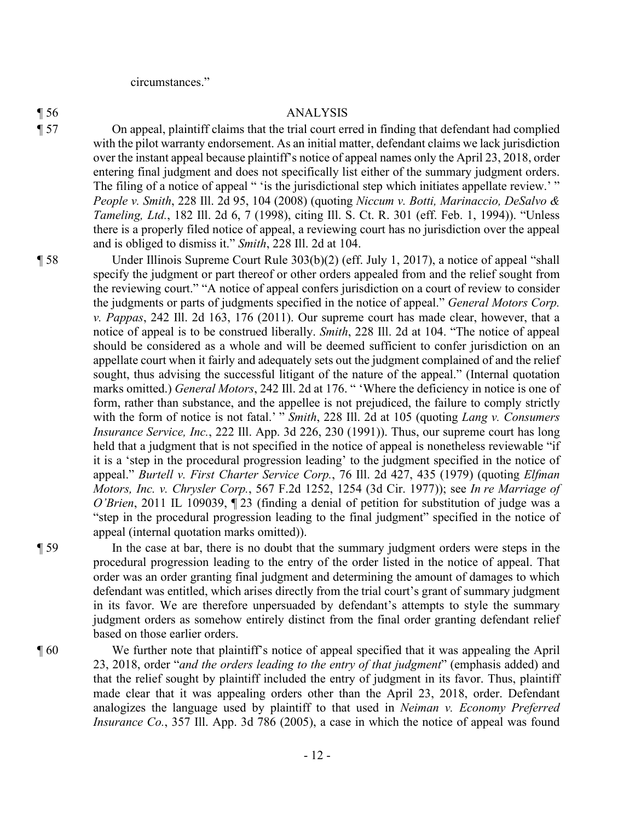circumstances."

#### ¶ 56 ANALYSIS

¶ 57 On appeal, plaintiff claims that the trial court erred in finding that defendant had complied with the pilot warranty endorsement. As an initial matter, defendant claims we lack jurisdiction over the instant appeal because plaintiff's notice of appeal names only the April 23, 2018, order entering final judgment and does not specifically list either of the summary judgment orders. The filing of a notice of appeal " 'is the jurisdictional step which initiates appellate review.' " *People v. Smith*, 228 Ill. 2d 95, 104 (2008) (quoting *Niccum v. Botti, Marinaccio, DeSalvo & Tameling, Ltd.*, 182 Ill. 2d 6, 7 (1998), citing Ill. S. Ct. R. 301 (eff. Feb. 1, 1994)). "Unless there is a properly filed notice of appeal, a reviewing court has no jurisdiction over the appeal and is obliged to dismiss it." *Smith*, 228 Ill. 2d at 104.

¶ 58 Under Illinois Supreme Court Rule 303(b)(2) (eff. July 1, 2017), a notice of appeal "shall specify the judgment or part thereof or other orders appealed from and the relief sought from the reviewing court." "A notice of appeal confers jurisdiction on a court of review to consider the judgments or parts of judgments specified in the notice of appeal." *General Motors Corp. v. Pappas*, 242 Ill. 2d 163, 176 (2011). Our supreme court has made clear, however, that a notice of appeal is to be construed liberally. *Smith*, 228 Ill. 2d at 104. "The notice of appeal should be considered as a whole and will be deemed sufficient to confer jurisdiction on an appellate court when it fairly and adequately sets out the judgment complained of and the relief sought, thus advising the successful litigant of the nature of the appeal." (Internal quotation marks omitted.) *General Motors*, 242 Ill. 2d at 176. " 'Where the deficiency in notice is one of form, rather than substance, and the appellee is not prejudiced, the failure to comply strictly with the form of notice is not fatal.' " *Smith*, 228 Ill. 2d at 105 (quoting *Lang v. Consumers Insurance Service, Inc.*, 222 Ill. App. 3d 226, 230 (1991)). Thus, our supreme court has long held that a judgment that is not specified in the notice of appeal is nonetheless reviewable "if it is a 'step in the procedural progression leading' to the judgment specified in the notice of appeal." *Burtell v. First Charter Service Corp.*, 76 Ill. 2d 427, 435 (1979) (quoting *Elfman Motors, Inc. v. Chrysler Corp.*, 567 F.2d 1252, 1254 (3d Cir. 1977)); see *In re Marriage of O'Brien*, 2011 IL 109039, ¶ 23 (finding a denial of petition for substitution of judge was a "step in the procedural progression leading to the final judgment" specified in the notice of appeal (internal quotation marks omitted)).

¶ 59 In the case at bar, there is no doubt that the summary judgment orders were steps in the procedural progression leading to the entry of the order listed in the notice of appeal. That order was an order granting final judgment and determining the amount of damages to which defendant was entitled, which arises directly from the trial court's grant of summary judgment in its favor. We are therefore unpersuaded by defendant's attempts to style the summary judgment orders as somehow entirely distinct from the final order granting defendant relief based on those earlier orders.

¶ 60 We further note that plaintiff's notice of appeal specified that it was appealing the April 23, 2018, order "*and the orders leading to the entry of that judgment*" (emphasis added) and that the relief sought by plaintiff included the entry of judgment in its favor. Thus, plaintiff made clear that it was appealing orders other than the April 23, 2018, order. Defendant analogizes the language used by plaintiff to that used in *Neiman v. Economy Preferred Insurance Co.*, 357 Ill. App. 3d 786 (2005), a case in which the notice of appeal was found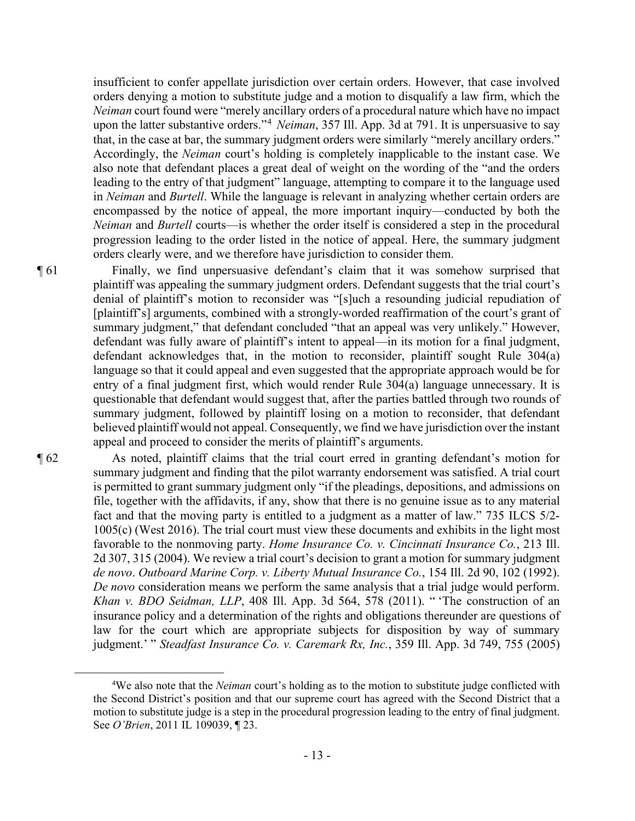insufficient to confer appellate jurisdiction over certain orders. However, that case involved orders denying a motion to substitute judge and a motion to disqualify a law firm, which the *Neiman* court found were "merely ancillary orders of a procedural nature which have no impact upon the latter substantive orders."<sup>4</sup> *Neiman*, 357 Ill. App. 3d at 791. It is unpersuasive to say that, in the case at bar, the summary judgment orders were similarly "merely ancillary orders." Accordingly, the *Neiman* court's holding is completely inapplicable to the instant case. We also note that defendant places a great deal of weight on the wording of the "and the orders leading to the entry of that judgment" language, attempting to compare it to the language used in *Neiman* and *Burtell*. While the language is relevant in analyzing whether certain orders are encompassed by the notice of appeal, the more important inquiry—conducted by both the *Neiman* and *Burtell* courts—is whether the order itself is considered a step in the procedural progression leading to the order listed in the notice of appeal. Here, the summary judgment orders clearly were, and we therefore have jurisdiction to consider them.

¶ 61 Finally, we find unpersuasive defendant's claim that it was somehow surprised that plaintiff was appealing the summary judgment orders. Defendant suggests that the trial court's denial of plaintiff's motion to reconsider was "[s]uch a resounding judicial repudiation of [plaintiff's] arguments, combined with a strongly-worded reaffirmation of the court's grant of summary judgment," that defendant concluded "that an appeal was very unlikely." However, defendant was fully aware of plaintiff's intent to appeal—in its motion for a final judgment, defendant acknowledges that, in the motion to reconsider, plaintiff sought Rule 304(a) language so that it could appeal and even suggested that the appropriate approach would be for entry of a final judgment first, which would render Rule 304(a) language unnecessary. It is questionable that defendant would suggest that, after the parties battled through two rounds of summary judgment, followed by plaintiff losing on a motion to reconsider, that defendant believed plaintiff would not appeal. Consequently, we find we have jurisdiction over the instant appeal and proceed to consider the merits of plaintiff's arguments.

¶ 62 As noted, plaintiff claims that the trial court erred in granting defendant's motion for summary judgment and finding that the pilot warranty endorsement was satisfied. A trial court is permitted to grant summary judgment only "if the pleadings, depositions, and admissions on file, together with the affidavits, if any, show that there is no genuine issue as to any material fact and that the moving party is entitled to a judgment as a matter of law." 735 ILCS 5/2- 1005(c) (West 2016). The trial court must view these documents and exhibits in the light most favorable to the nonmoving party. *Home Insurance Co. v. Cincinnati Insurance Co.*, 213 Ill. 2d 307, 315 (2004). We review a trial court's decision to grant a motion for summary judgment *de novo*. *Outboard Marine Corp. v. Liberty Mutual Insurance Co.*, 154 Ill. 2d 90, 102 (1992). *De novo* consideration means we perform the same analysis that a trial judge would perform. *Khan v. BDO Seidman, LLP*, 408 Ill. App. 3d 564, 578 (2011). " 'The construction of an insurance policy and a determination of the rights and obligations thereunder are questions of law for the court which are appropriate subjects for disposition by way of summary judgment.' " *Steadfast Insurance Co. v. Caremark Rx, Inc.*, 359 Ill. App. 3d 749, 755 (2005)

<sup>4</sup> We also note that the *Neiman* court's holding as to the motion to substitute judge conflicted with the Second District's position and that our supreme court has agreed with the Second District that a motion to substitute judge is a step in the procedural progression leading to the entry of final judgment. See *O'Brien*, 2011 IL 109039, ¶ 23.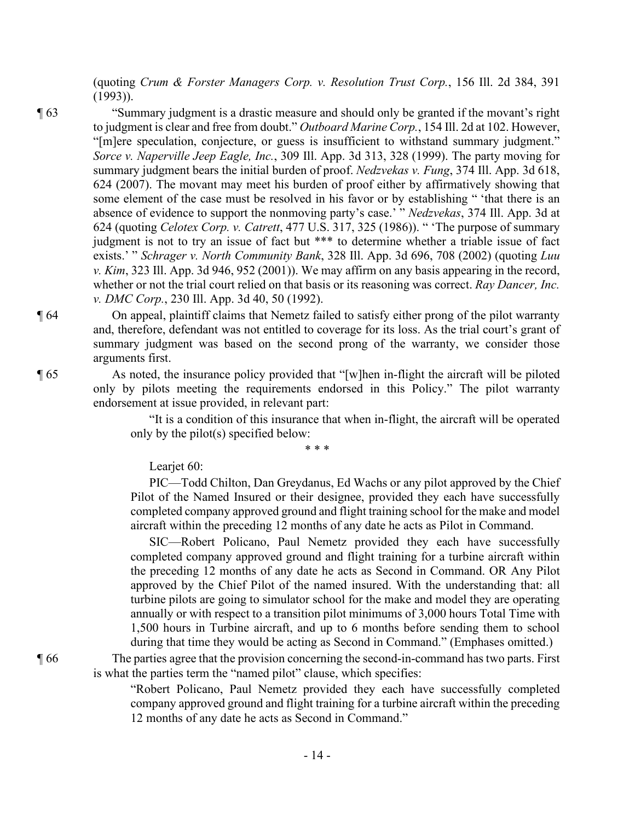(quoting *Crum & Forster Managers Corp. v. Resolution Trust Corp.*, 156 Ill. 2d 384, 391 (1993)).

¶ 63 "Summary judgment is a drastic measure and should only be granted if the movant's right to judgment is clear and free from doubt." *Outboard Marine Corp.*, 154 Ill. 2d at 102. However, "[m]ere speculation, conjecture, or guess is insufficient to withstand summary judgment." *Sorce v. Naperville Jeep Eagle, Inc.*, 309 Ill. App. 3d 313, 328 (1999). The party moving for summary judgment bears the initial burden of proof. *Nedzvekas v. Fung*, 374 Ill. App. 3d 618, 624 (2007). The movant may meet his burden of proof either by affirmatively showing that some element of the case must be resolved in his favor or by establishing " 'that there is an absence of evidence to support the nonmoving party's case.' " *Nedzvekas*, 374 Ill. App. 3d at 624 (quoting *Celotex Corp. v. Catrett*, 477 U.S. 317, 325 (1986)). " 'The purpose of summary judgment is not to try an issue of fact but \*\*\* to determine whether a triable issue of fact exists.' " *Schrager v. North Community Bank*, 328 Ill. App. 3d 696, 708 (2002) (quoting *Luu v. Kim*, 323 Ill. App. 3d 946, 952 (2001)). We may affirm on any basis appearing in the record, whether or not the trial court relied on that basis or its reasoning was correct. *Ray Dancer, Inc. v. DMC Corp.*, 230 Ill. App. 3d 40, 50 (1992).

¶ 64 On appeal, plaintiff claims that Nemetz failed to satisfy either prong of the pilot warranty and, therefore, defendant was not entitled to coverage for its loss. As the trial court's grant of summary judgment was based on the second prong of the warranty, we consider those arguments first.

¶ 65 As noted, the insurance policy provided that "[w]hen in-flight the aircraft will be piloted only by pilots meeting the requirements endorsed in this Policy." The pilot warranty endorsement at issue provided, in relevant part:

> "It is a condition of this insurance that when in-flight, the aircraft will be operated only by the pilot(s) specified below:

> > \* \* \*

Learjet 60:

PIC—Todd Chilton, Dan Greydanus, Ed Wachs or any pilot approved by the Chief Pilot of the Named Insured or their designee, provided they each have successfully completed company approved ground and flight training school for the make and model aircraft within the preceding 12 months of any date he acts as Pilot in Command.

SIC—Robert Policano, Paul Nemetz provided they each have successfully completed company approved ground and flight training for a turbine aircraft within the preceding 12 months of any date he acts as Second in Command. OR Any Pilot approved by the Chief Pilot of the named insured. With the understanding that: all turbine pilots are going to simulator school for the make and model they are operating annually or with respect to a transition pilot minimums of 3,000 hours Total Time with 1,500 hours in Turbine aircraft, and up to 6 months before sending them to school during that time they would be acting as Second in Command." (Emphases omitted.)

¶ 66 The parties agree that the provision concerning the second-in-command has two parts. First is what the parties term the "named pilot" clause, which specifies:

> "Robert Policano, Paul Nemetz provided they each have successfully completed company approved ground and flight training for a turbine aircraft within the preceding 12 months of any date he acts as Second in Command."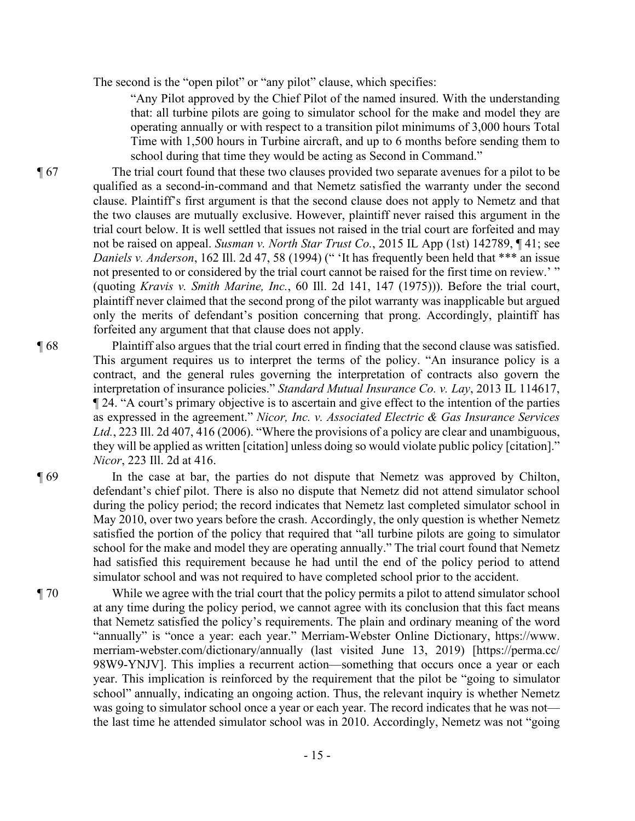The second is the "open pilot" or "any pilot" clause, which specifies:

"Any Pilot approved by the Chief Pilot of the named insured. With the understanding that: all turbine pilots are going to simulator school for the make and model they are operating annually or with respect to a transition pilot minimums of 3,000 hours Total Time with 1,500 hours in Turbine aircraft, and up to 6 months before sending them to school during that time they would be acting as Second in Command."

¶ 67 The trial court found that these two clauses provided two separate avenues for a pilot to be qualified as a second-in-command and that Nemetz satisfied the warranty under the second clause. Plaintiff's first argument is that the second clause does not apply to Nemetz and that the two clauses are mutually exclusive. However, plaintiff never raised this argument in the trial court below. It is well settled that issues not raised in the trial court are forfeited and may not be raised on appeal. *Susman v. North Star Trust Co.*, 2015 IL App (1st) 142789, ¶ 41; see *Daniels v. Anderson*, 162 Ill. 2d 47, 58 (1994) (" 'It has frequently been held that \*\*\* an issue not presented to or considered by the trial court cannot be raised for the first time on review.' " (quoting *Kravis v. Smith Marine, Inc.*, 60 Ill. 2d 141, 147 (1975))). Before the trial court, plaintiff never claimed that the second prong of the pilot warranty was inapplicable but argued only the merits of defendant's position concerning that prong. Accordingly, plaintiff has forfeited any argument that that clause does not apply.

- ¶ 68 Plaintiff also argues that the trial court erred in finding that the second clause was satisfied. This argument requires us to interpret the terms of the policy. "An insurance policy is a contract, and the general rules governing the interpretation of contracts also govern the interpretation of insurance policies." *Standard Mutual Insurance Co. v. Lay*, 2013 IL 114617, ¶ 24. "A court's primary objective is to ascertain and give effect to the intention of the parties as expressed in the agreement." *Nicor, Inc. v. Associated Electric & Gas Insurance Services Ltd.*, 223 Ill. 2d 407, 416 (2006). "Where the provisions of a policy are clear and unambiguous, they will be applied as written [citation] unless doing so would violate public policy [citation]." *Nicor*, 223 Ill. 2d at 416.
- ¶ 69 In the case at bar, the parties do not dispute that Nemetz was approved by Chilton, defendant's chief pilot. There is also no dispute that Nemetz did not attend simulator school during the policy period; the record indicates that Nemetz last completed simulator school in May 2010, over two years before the crash. Accordingly, the only question is whether Nemetz satisfied the portion of the policy that required that "all turbine pilots are going to simulator school for the make and model they are operating annually." The trial court found that Nemetz had satisfied this requirement because he had until the end of the policy period to attend simulator school and was not required to have completed school prior to the accident.
- ¶ 70 While we agree with the trial court that the policy permits a pilot to attend simulator school at any time during the policy period, we cannot agree with its conclusion that this fact means that Nemetz satisfied the policy's requirements. The plain and ordinary meaning of the word "annually" is "once a year: each year." Merriam-Webster Online Dictionary, https://www. merriam-webster.com/dictionary/annually (last visited June 13, 2019) [https://perma.cc/ 98W9-YNJV]. This implies a recurrent action—something that occurs once a year or each year. This implication is reinforced by the requirement that the pilot be "going to simulator school" annually, indicating an ongoing action. Thus, the relevant inquiry is whether Nemetz was going to simulator school once a year or each year. The record indicates that he was not the last time he attended simulator school was in 2010. Accordingly, Nemetz was not "going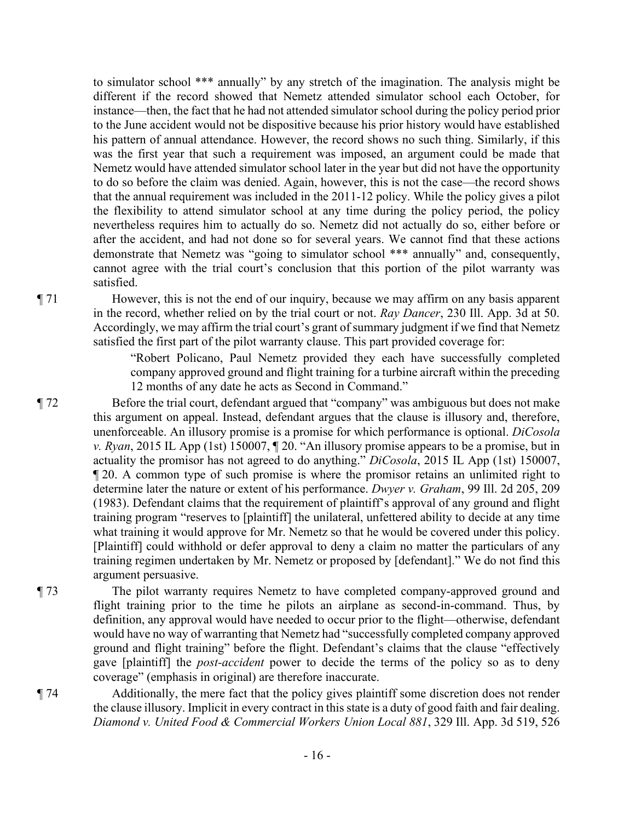to simulator school \*\*\* annually" by any stretch of the imagination. The analysis might be different if the record showed that Nemetz attended simulator school each October, for instance—then, the fact that he had not attended simulator school during the policy period prior to the June accident would not be dispositive because his prior history would have established his pattern of annual attendance. However, the record shows no such thing. Similarly, if this was the first year that such a requirement was imposed, an argument could be made that Nemetz would have attended simulator school later in the year but did not have the opportunity to do so before the claim was denied. Again, however, this is not the case—the record shows that the annual requirement was included in the 2011-12 policy. While the policy gives a pilot the flexibility to attend simulator school at any time during the policy period, the policy nevertheless requires him to actually do so. Nemetz did not actually do so, either before or after the accident, and had not done so for several years. We cannot find that these actions demonstrate that Nemetz was "going to simulator school \*\*\* annually" and, consequently, cannot agree with the trial court's conclusion that this portion of the pilot warranty was satisfied.

¶ 71 However, this is not the end of our inquiry, because we may affirm on any basis apparent in the record, whether relied on by the trial court or not. *Ray Dancer*, 230 Ill. App. 3d at 50. Accordingly, we may affirm the trial court's grant of summary judgment if we find that Nemetz satisfied the first part of the pilot warranty clause. This part provided coverage for:

> "Robert Policano, Paul Nemetz provided they each have successfully completed company approved ground and flight training for a turbine aircraft within the preceding 12 months of any date he acts as Second in Command."

- ¶ 72 Before the trial court, defendant argued that "company" was ambiguous but does not make this argument on appeal. Instead, defendant argues that the clause is illusory and, therefore, unenforceable. An illusory promise is a promise for which performance is optional. *DiCosola v. Ryan*, 2015 IL App (1st) 150007, ¶ 20. "An illusory promise appears to be a promise, but in actuality the promisor has not agreed to do anything." *DiCosola*, 2015 IL App (1st) 150007, ¶ 20. A common type of such promise is where the promisor retains an unlimited right to determine later the nature or extent of his performance. *Dwyer v. Graham*, 99 Ill. 2d 205, 209 (1983). Defendant claims that the requirement of plaintiff's approval of any ground and flight training program "reserves to [plaintiff] the unilateral, unfettered ability to decide at any time what training it would approve for Mr. Nemetz so that he would be covered under this policy. [Plaintiff] could withhold or defer approval to deny a claim no matter the particulars of any training regimen undertaken by Mr. Nemetz or proposed by [defendant]." We do not find this argument persuasive.
- ¶ 73 The pilot warranty requires Nemetz to have completed company-approved ground and flight training prior to the time he pilots an airplane as second-in-command. Thus, by definition, any approval would have needed to occur prior to the flight—otherwise, defendant would have no way of warranting that Nemetz had "successfully completed company approved ground and flight training" before the flight. Defendant's claims that the clause "effectively gave [plaintiff] the *post-accident* power to decide the terms of the policy so as to deny coverage" (emphasis in original) are therefore inaccurate.

¶ 74 Additionally, the mere fact that the policy gives plaintiff some discretion does not render the clause illusory. Implicit in every contract in this state is a duty of good faith and fair dealing. *Diamond v. United Food & Commercial Workers Union Local 881*, 329 Ill. App. 3d 519, 526